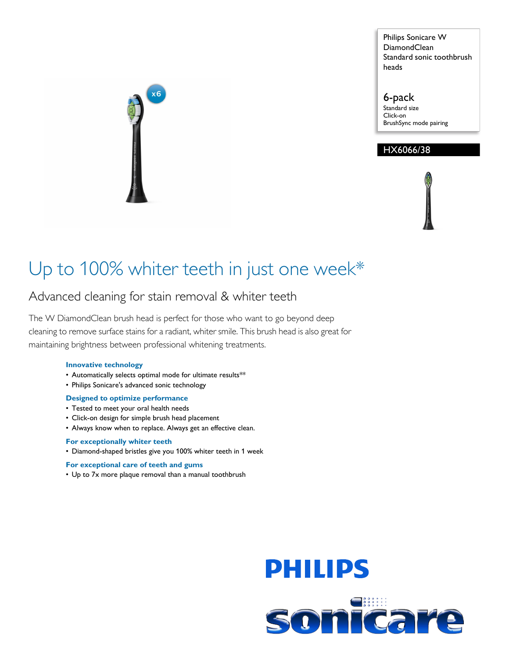Philips Sonicare W DiamondClean Standard sonic toothbrush heads

6-pack Standard size Click-on BrushSync mode pairing

# HX6066/38

# Up to 100% whiter teeth in just one week\*

# Advanced cleaning for stain removal & whiter teeth

The W DiamondClean brush head is perfect for those who want to go beyond deep cleaning to remove surface stains for a radiant, whiter smile. This brush head is also great for maintaining brightness between professional whitening treatments.

### **Innovative technology**

- Automatically selects optimal mode for ultimate results\*\*
- Philips Sonicare's advanced sonic technology

#### **Designed to optimize performance**

- Tested to meet your oral health needs
- Click-on design for simple brush head placement
- Always know when to replace. Always get an effective clean.

### **For exceptionally whiter teeth**

• Diamond-shaped bristles give you 100% whiter teeth in 1 week

#### **For exceptional care of teeth and gums**

• Up to 7x more plaque removal than a manual toothbrush



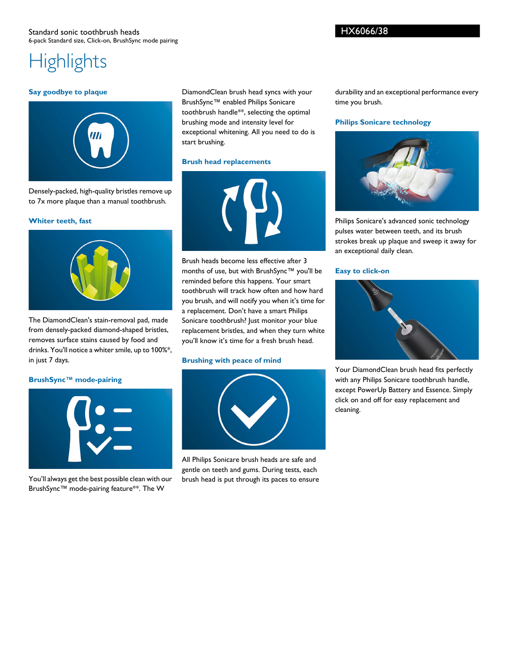HX6066/38

# **Highlights**

#### **Say goodbye to plaque**



Densely-packed, high-quality bristles remove up to 7x more plaque than a manual toothbrush.

#### **Whiter teeth, fast**



The DiamondClean's stain-removal pad, made from densely-packed diamond-shaped bristles, removes surface stains caused by food and drinks. You'll notice a whiter smile, up to 100%\*, in just 7 days.

#### **BrushSync™ mode-pairing**



You'll always get the best possible clean with our BrushSync™ mode-pairing feature\*\*. The W

DiamondClean brush head syncs with your BrushSync™ enabled Philips Sonicare toothbrush handle\*\*, selecting the optimal brushing mode and intensity level for exceptional whitening. All you need to do is start brushing.

#### **Brush head replacements**



Brush heads become less effective after 3 months of use, but with BrushSync™ you'll be reminded before this happens. Your smart toothbrush will track how often and how hard you brush, and will notify you when it's time for a replacement. Don't have a smart Philips Sonicare toothbrush? Just monitor your blue replacement bristles, and when they turn white you'll know it's time for a fresh brush head.

#### **Brushing with peace of mind**



All Philips Sonicare brush heads are safe and gentle on teeth and gums. During tests, each brush head is put through its paces to ensure

durability and an exceptional performance every time you brush.

#### **Philips Sonicare technology**



Philips Sonicare's advanced sonic technology pulses water between teeth, and its brush strokes break up plaque and sweep it away for an exceptional daily clean.

#### **Easy to click-on**



Your DiamondClean brush head fits perfectly with any Philips Sonicare toothbrush handle, except PowerUp Battery and Essence. Simply click on and off for easy replacement and cleaning.